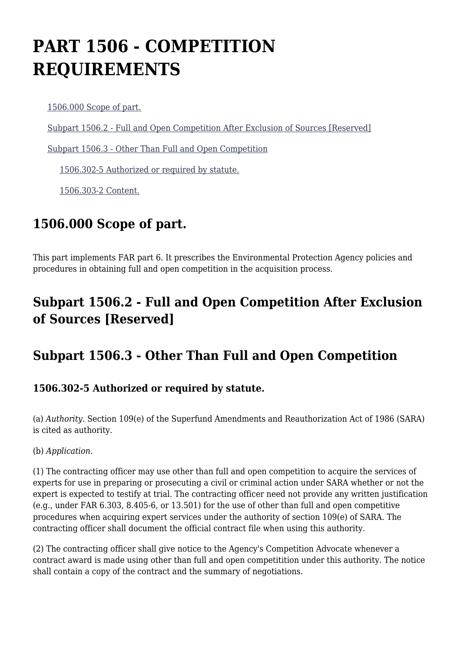# **PART 1506 - COMPETITION REQUIREMENTS**

[1506.000 Scope of part.](https://origin-www.acquisition.gov/%5Brp:link:epaar-part-1506%5D#Section_1506_000_T48_60127011)

[Subpart 1506.2 - Full and Open Competition After Exclusion of Sources \[Reserved\]](https://origin-www.acquisition.gov/%5Brp:link:epaar-part-1506%5D#Subpart_1506_2_T48_601271)

[Subpart 1506.3 - Other Than Full and Open Competition](https://origin-www.acquisition.gov/%5Brp:link:epaar-part-1506%5D#Subpart_1506_3_T48_601272)

[1506.302-5 Authorized or required by statute.](https://origin-www.acquisition.gov/%5Brp:link:epaar-part-1506%5D#Section_1506_302_5_T48_60127211)

[1506.303-2 Content.](https://origin-www.acquisition.gov/%5Brp:link:epaar-part-1506%5D#Section_1506_303_2_T48_60127212)

## **1506.000 Scope of part.**

This part implements FAR part 6. It prescribes the Environmental Protection Agency policies and procedures in obtaining full and open competition in the acquisition process.

### **Subpart 1506.2 - Full and Open Competition After Exclusion of Sources [Reserved]**

#### **Subpart 1506.3 - Other Than Full and Open Competition**

#### **1506.302-5 Authorized or required by statute.**

(a) *Authority.* Section 109(e) of the Superfund Amendments and Reauthorization Act of 1986 (SARA) is cited as authority.

(b) *Application.*

(1) The contracting officer may use other than full and open competition to acquire the services of experts for use in preparing or prosecuting a civil or criminal action under SARA whether or not the expert is expected to testify at trial. The contracting officer need not provide any written justification (e.g., under FAR 6.303, 8.405-6, or 13.501) for the use of other than full and open competitive procedures when acquiring expert services under the authority of section 109(e) of SARA. The contracting officer shall document the official contract file when using this authority.

(2) The contracting officer shall give notice to the Agency's Competition Advocate whenever a contract award is made using other than full and open competitition under this authority. The notice shall contain a copy of the contract and the summary of negotiations.